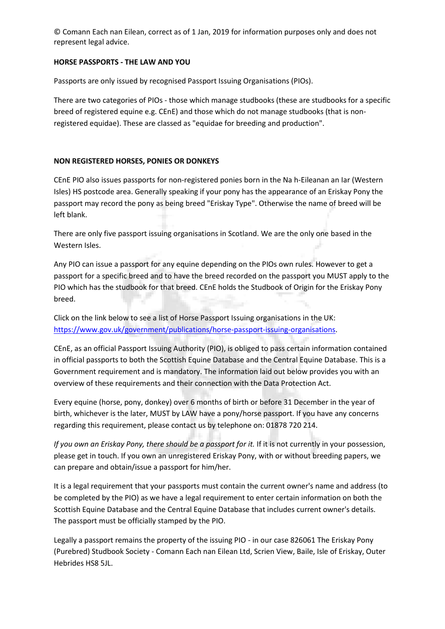© Comann Each nan Eilean, correct as of 1 Jan, 2019 for information purposes only and does not represent legal advice.

## **HORSE PASSPORTS - THE LAW AND YOU**

Passports are only issued by recognised Passport Issuing Organisations (PIOs).

There are two categories of PIOs - those which manage studbooks (these are studbooks for a specific breed of registered equine e.g. CEnE) and those which do not manage studbooks (that is nonregistered equidae). These are classed as "equidae for breeding and production".

# **NON REGISTERED HORSES, PONIES OR DONKEYS**

CEnE PIO also issues passports for non-registered ponies born in the Na h-Eileanan an Iar (Western Isles) HS postcode area. Generally speaking if your pony has the appearance of an Eriskay Pony the passport may record the pony as being breed "Eriskay Type". Otherwise the name of breed will be left blank.

There are only five passport issuing organisations in Scotland. We are the only one based in the Western Isles.

Any PIO can issue a passport for any equine depending on the PIOs own rules. However to get a passport for a specific breed and to have the breed recorded on the passport you MUST apply to the PIO which has the studbook for that breed. CEnE holds the Studbook of Origin for the Eriskay Pony breed.

Click on the link below to see a list of Horse Passport Issuing organisations in the UK: [https://www.gov.uk/government/publications/horse-passport-issuing-organisations.](https://www.gov.uk/government/publications/horse-passport-issuing-organisations)

CEnE, as an official Passport Issuing Authority (PIO), is obliged to pass certain information contained in official passports to both the Scottish Equine Database and the Central Equine Database. This is a Government requirement and is mandatory. The information laid out below provides you with an overview of these requirements and their connection with the Data Protection Act.

Every equine (horse, pony, donkey) over 6 months of birth or before 31 December in the year of birth, whichever is the later, MUST by LAW have a pony/horse passport. If you have any concerns regarding this requirement, please contact us by telephone on: 01878 720 214.

*If you own an Eriskay Pony, there should be a passport for it.* If it is not currently in your possession, please get in touch. If you own an unregistered Eriskay Pony, with or without breeding papers, we can prepare and obtain/issue a passport for him/her.

It is a legal requirement that your passports must contain the current owner's name and address (to be completed by the PIO) as we have a legal requirement to enter certain information on both the Scottish Equine Database and the Central Equine Database that includes current owner's details. The passport must be officially stamped by the PIO.

Legally a passport remains the property of the issuing PIO - in our case 826061 The Eriskay Pony (Purebred) Studbook Society - Comann Each nan Eilean Ltd, Scrien View, Baile, Isle of Eriskay, Outer Hebrides HS8 5JL.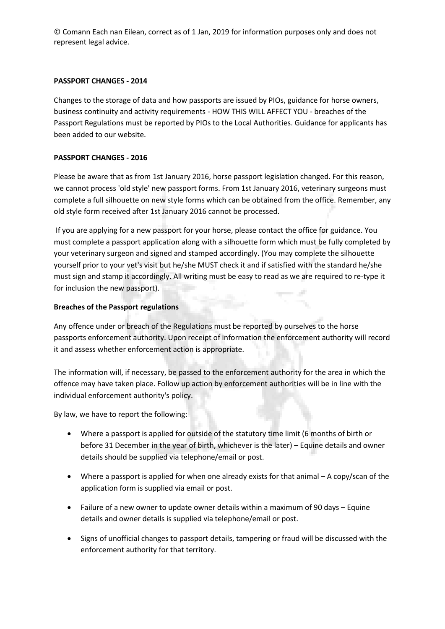© Comann Each nan Eilean, correct as of 1 Jan, 2019 for information purposes only and does not represent legal advice.

## **PASSPORT CHANGES - 2014**

Changes to the storage of data and how passports are issued by PIOs, guidance for horse owners, business continuity and activity requirements - HOW THIS WILL AFFECT YOU - breaches of the Passport Regulations must be reported by PIOs to the Local Authorities. Guidance for applicants has been added to our website.

### **PASSPORT CHANGES - 2016**

Please be aware that as from 1st January 2016, horse passport legislation changed. For this reason, we cannot process 'old style' new passport forms. From 1st January 2016, veterinary surgeons must complete a full silhouette on new style forms which can be obtained from the office. Remember, any old style form received after 1st January 2016 cannot be processed.

If you are applying for a new passport for your horse, please contact the office for guidance. You must complete a passport application along with a silhouette form which must be fully completed by your veterinary surgeon and signed and stamped accordingly. (You may complete the silhouette yourself prior to your vet's visit but he/she MUST check it and if satisfied with the standard he/she must sign and stamp it accordingly. All writing must be easy to read as we are required to re-type it for inclusion the new passport).

### **Breaches of the Passport regulations**

Any offence under or breach of the Regulations must be reported by ourselves to the horse passports enforcement authority. Upon receipt of information the enforcement authority will record it and assess whether enforcement action is appropriate.

The information will, if necessary, be passed to the enforcement authority for the area in which the offence may have taken place. Follow up action by enforcement authorities will be in line with the individual enforcement authority's policy.

By law, we have to report the following:

- Where a passport is applied for outside of the statutory time limit (6 months of birth or before 31 December in the year of birth, whichever is the later) – Equine details and owner details should be supplied via telephone/email or post.
- Where a passport is applied for when one already exists for that animal A copy/scan of the application form is supplied via email or post.
- Failure of a new owner to update owner details within a maximum of 90 days Equine details and owner details is supplied via telephone/email or post.
- Signs of unofficial changes to passport details, tampering or fraud will be discussed with the enforcement authority for that territory.